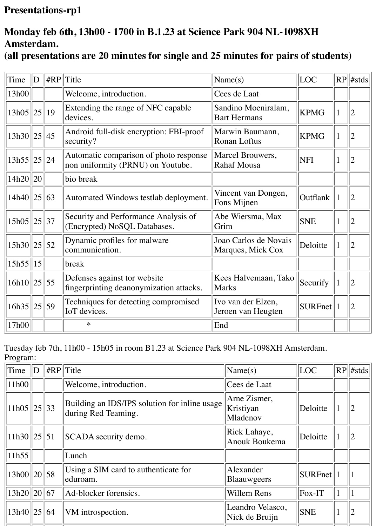## **Presentations-rp1**

## **Monday feb 6th, 13h00 - 1700 in B.1.23 at Science Park 904 NL-1098XH Amsterdam.**

## **(all presentations are 20 minutes for single and 25 minutes for pairs of students)**

| Time        | D         | HRP              | Title                                                                       | $\text{Name}(s)$                           | LOC           |              | $RP$ #stds     |
|-------------|-----------|------------------|-----------------------------------------------------------------------------|--------------------------------------------|---------------|--------------|----------------|
| 13h00       |           |                  | Welcome, introduction.                                                      | Cees de Laat                               |               |              |                |
| $13h05$  25 |           | 19               | Extending the range of NFC capable<br>devices.                              | Sandino Moeniralam,<br><b>Bart Hermans</b> | <b>KPMG</b>   | 1            | $\overline{2}$ |
| $13h30$  25 |           | $ 45\rangle$     | Android full-disk encryption: FBI-proof<br>security?                        | Marwin Baumann,<br><b>Ronan Loftus</b>     | <b>KPMG</b>   | $\mathbf{1}$ |                |
| 13h55  25   |           | 24               | Automatic comparison of photo response<br>non uniformity (PRNU) on Youtube. | Marcel Brouwers,<br>Rahaf Mousa            | <b>NFI</b>    | 1            |                |
| 14h20       | <b>20</b> |                  | bio break                                                                   |                                            |               |              |                |
| 14h40       | 25        | $ 63\rangle$     | Automated Windows testlab deployment.                                       | Vincent van Dongen,<br>Fons Mijnen         | Outflank      | 1            | $\overline{2}$ |
| 15h05       | 25        | 37               | Security and Performance Analysis of<br>(Encrypted) NoSQL Databases.        | Abe Wiersma, Max<br>Grim                   | <b>SNE</b>    | 1            |                |
| 15h30       | 25        | $\vert 52 \vert$ | Dynamic profiles for malware<br>communication.                              | Joao Carlos de Novais<br>Marques, Mick Cox | Deloitte      | $\mathbf 1$  |                |
| 15h55       | 15        |                  | break                                                                       |                                            |               |              |                |
| $16h10$  25 |           | $\vert 55 \vert$ | Defenses against tor website<br>fingerprinting deanonymization attacks.     | Kees Halvemaan, Tako<br>Marks              | Securify      | $\mathbf{1}$ |                |
| 16h35       | 25        | 59               | Techniques for detecting compromised<br>IoT devices.                        | Ivo van der Elzen,<br>Jeroen van Heugten   | $SURFnet$   1 |              | 2              |
| 17h00       |           |                  | $\ast$                                                                      | End                                        |               |              |                |

Tuesday feb 7th, 11h00 - 15h05 in room B1.23 at Science Park 904 NL-1098XH Amsterdam. Program:

| Time             | $\mathbb{D}$ | $\Vert \#RP \Vert$ Title                                             | $\text{Name}(s)$                      | LOC          |          | $ RP $ #stds   |
|------------------|--------------|----------------------------------------------------------------------|---------------------------------------|--------------|----------|----------------|
| 11h00            |              | Welcome, introduction.                                               | Cees de Laat                          |              |          |                |
| 11h05  25  33    |              | Building an IDS/IPS solution for inline usage<br>during Red Teaming. | Arne Zismer,<br>Kristiyan<br>Mladenov | Deloitte     | 1        | $\overline{2}$ |
| $11h30$  25  51  |              | SCADA security demo.                                                 | Rick Lahaye,<br><b>Anouk Boukema</b>  | Deloitte     | $\bf{l}$ | $\overline{2}$ |
| 11h55            |              | Lunch                                                                |                                       |              |          |                |
| 13h00  20  58    |              | Using a SIM card to authenticate for<br>eduroam.                     | Alexander<br>Blaauwgeers              | $SURFnet$  1 |          |                |
| $13h20$   20  67 |              | Ad-blocker forensics.                                                | <b>Willem Rens</b>                    | $Fox-T$      |          |                |
| $13h40$   25  64 |              | VM introspection.                                                    | Leandro Velasco,<br>Nick de Bruijn    | <b>SNE</b>   |          |                |